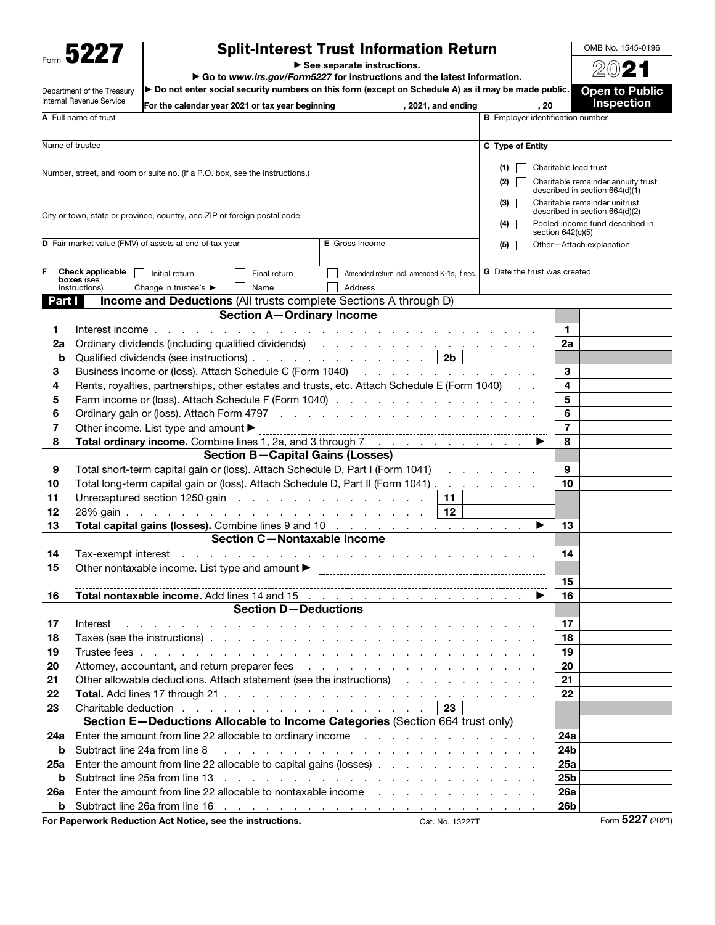Form 5227

Department of the Treasury

## Split-Interest Trust Information Return

▶ See separate instructions.

▶ Go to *www.irs.gov/Form5227* for instructions and the latest information.

 $\blacktriangleright$  Do not enter social security numbers on this form (except on Schedule A) as it may be made public.

2021 **Open to Public** 

OMB No. 1545-0196

|          | Internal Revenue Service       | For the calendar year 2021 or tax year beginning                                                                                                                                                                               | , 2021, and ending                                                                                                                                                                                                            | . 20                                    | <b>Inspection</b>                                               |
|----------|--------------------------------|--------------------------------------------------------------------------------------------------------------------------------------------------------------------------------------------------------------------------------|-------------------------------------------------------------------------------------------------------------------------------------------------------------------------------------------------------------------------------|-----------------------------------------|-----------------------------------------------------------------|
|          | A Full name of trust           |                                                                                                                                                                                                                                |                                                                                                                                                                                                                               | <b>B</b> Emplover identification number |                                                                 |
|          | Name of trustee                |                                                                                                                                                                                                                                |                                                                                                                                                                                                                               | C Type of Entity                        |                                                                 |
|          |                                |                                                                                                                                                                                                                                |                                                                                                                                                                                                                               | (1)                                     | Charitable lead trust                                           |
|          |                                | Number, street, and room or suite no. (If a P.O. box, see the instructions.)                                                                                                                                                   |                                                                                                                                                                                                                               | (2)                                     | Charitable remainder annuity trust                              |
|          |                                |                                                                                                                                                                                                                                |                                                                                                                                                                                                                               |                                         | described in section 664(d)(1)                                  |
|          |                                |                                                                                                                                                                                                                                |                                                                                                                                                                                                                               | (3)                                     | Charitable remainder unitrust<br>described in section 664(d)(2) |
|          |                                | City or town, state or province, country, and ZIP or foreign postal code                                                                                                                                                       |                                                                                                                                                                                                                               | (4)                                     | Pooled income fund described in                                 |
|          |                                |                                                                                                                                                                                                                                |                                                                                                                                                                                                                               |                                         | section 642(c)(5)                                               |
|          |                                | D Fair market value (FMV) of assets at end of tax year                                                                                                                                                                         | <b>E</b> Gross Income                                                                                                                                                                                                         | (5)                                     | Other-Attach explanation                                        |
|          |                                |                                                                                                                                                                                                                                |                                                                                                                                                                                                                               |                                         |                                                                 |
|          | Check applicable<br>boxes (see | Initial return<br>Final return                                                                                                                                                                                                 | Amended return incl. amended K-1s, if nec.                                                                                                                                                                                    | <b>G</b> Date the trust was created     |                                                                 |
|          | instructions)                  | Change in trustee's ▶<br>Name                                                                                                                                                                                                  | Address                                                                                                                                                                                                                       |                                         |                                                                 |
| Part I   |                                | <b>Income and Deductions (All trusts complete Sections A through D)</b><br><b>Section A-Ordinary Income</b>                                                                                                                    |                                                                                                                                                                                                                               |                                         |                                                                 |
|          |                                |                                                                                                                                                                                                                                |                                                                                                                                                                                                                               |                                         |                                                                 |
| 1        |                                | Interest income                                                                                                                                                                                                                |                                                                                                                                                                                                                               |                                         | 1                                                               |
| 2a       |                                | Ordinary dividends (including qualified dividends) (and a contract of the contract of the contract of the contract of the contract of the contract of the contract of the contract of the contract of the contract of the cont |                                                                                                                                                                                                                               |                                         | 2a                                                              |
| b<br>3   |                                | Qualified dividends (see instructions)   2b<br>Business income or (loss). Attach Schedule C (Form 1040)                                                                                                                        |                                                                                                                                                                                                                               |                                         | 3                                                               |
| 4        |                                | Rents, royalties, partnerships, other estates and trusts, etc. Attach Schedule E (Form 1040)                                                                                                                                   |                                                                                                                                                                                                                               |                                         | 4                                                               |
| 5        |                                | Farm income or (loss). Attach Schedule F (Form 1040)                                                                                                                                                                           |                                                                                                                                                                                                                               |                                         | 5                                                               |
| 6        |                                |                                                                                                                                                                                                                                |                                                                                                                                                                                                                               |                                         | 6                                                               |
| 7        |                                | Other income. List type and amount ▶                                                                                                                                                                                           |                                                                                                                                                                                                                               |                                         | $\overline{7}$                                                  |
| 8        |                                | Total ordinary income. Combine lines 1, 2a, and 3 through 7                                                                                                                                                                    |                                                                                                                                                                                                                               |                                         | 8                                                               |
|          |                                | <b>Section B-Capital Gains (Losses)</b>                                                                                                                                                                                        |                                                                                                                                                                                                                               |                                         |                                                                 |
| 9        |                                | Total short-term capital gain or (loss). Attach Schedule D, Part I (Form 1041)                                                                                                                                                 |                                                                                                                                                                                                                               |                                         | 9                                                               |
| 10       |                                | Total long-term capital gain or (loss). Attach Schedule D, Part II (Form 1041)                                                                                                                                                 |                                                                                                                                                                                                                               |                                         | 10                                                              |
| 11       |                                | Unrecaptured section 1250 gain enterstanding to the contract of the Unrecaptured section 1250 gain                                                                                                                             | 11                                                                                                                                                                                                                            |                                         |                                                                 |
| 12       |                                |                                                                                                                                                                                                                                | 12                                                                                                                                                                                                                            |                                         |                                                                 |
| 13       |                                | Total capital gains (losses). Combine lines 9 and 10                                                                                                                                                                           |                                                                                                                                                                                                                               | ▶                                       | 13                                                              |
|          |                                | <b>Section C-Nontaxable Income</b>                                                                                                                                                                                             |                                                                                                                                                                                                                               |                                         |                                                                 |
| 14       |                                |                                                                                                                                                                                                                                |                                                                                                                                                                                                                               |                                         | 14                                                              |
| 15       |                                | Other nontaxable income. List type and amount<br><br><br><br><br><br><br><br><br><br><br><br><br><br><br><br><br><br><br><br><br>                                                                                              |                                                                                                                                                                                                                               |                                         |                                                                 |
|          |                                |                                                                                                                                                                                                                                |                                                                                                                                                                                                                               |                                         | 15                                                              |
| 16       |                                | <b>Total nontaxable income.</b> Add lines 14 and 15 $\ldots$ $\ldots$ $\ldots$ $\ldots$ $\ldots$ $\ldots$                                                                                                                      |                                                                                                                                                                                                                               |                                         | 16                                                              |
|          |                                | <b>Section D-Deductions</b>                                                                                                                                                                                                    |                                                                                                                                                                                                                               |                                         |                                                                 |
| 17       | Interest                       | the contract of the contract of the contract of the contract of the contract of                                                                                                                                                |                                                                                                                                                                                                                               |                                         | 17                                                              |
| 18       |                                | Taxes (see the instructions) entering the contract of the contract of the contract of the contract of the contract of the contract of the contract of the contract of the contract of the contract of the contract of the cont |                                                                                                                                                                                                                               |                                         | 18                                                              |
| 19       |                                |                                                                                                                                                                                                                                |                                                                                                                                                                                                                               |                                         | 19                                                              |
| 20       |                                | Attorney, accountant, and return preparer fees                                                                                                                                                                                 |                                                                                                                                                                                                                               |                                         | 20                                                              |
| 21       |                                | Other allowable deductions. Attach statement (see the instructions)                                                                                                                                                            | <b>Allen Adams</b>                                                                                                                                                                                                            |                                         | 21                                                              |
| 22       |                                |                                                                                                                                                                                                                                |                                                                                                                                                                                                                               |                                         | 22                                                              |
| 23       |                                |                                                                                                                                                                                                                                | 23                                                                                                                                                                                                                            |                                         |                                                                 |
|          |                                | Section E-Deductions Allocable to Income Categories (Section 664 trust only)                                                                                                                                                   |                                                                                                                                                                                                                               |                                         |                                                                 |
| 24a      |                                | Enter the amount from line 22 allocable to ordinary income                                                                                                                                                                     |                                                                                                                                                                                                                               |                                         | 24a                                                             |
| b        |                                | Subtract line 24a from line 8                                                                                                                                                                                                  | a construction of the construction of the construction of the construction of the construction of the construction of the construction of the construction of the construction of the construction of the construction of the |                                         | 24 <sub>b</sub>                                                 |
| 25a      |                                | Enter the amount from line 22 allocable to capital gains (losses)                                                                                                                                                              |                                                                                                                                                                                                                               |                                         | 25a<br>25 <sub>b</sub>                                          |
| b        |                                | Enter the amount from line 22 allocable to nontaxable income                                                                                                                                                                   |                                                                                                                                                                                                                               |                                         | 26a                                                             |
| 26a<br>b |                                |                                                                                                                                                                                                                                |                                                                                                                                                                                                                               |                                         | 26 <sub>b</sub>                                                 |
|          |                                | For Paperwork Reduction Act Notice, see the instructions.                                                                                                                                                                      | Cat. No. 13227T                                                                                                                                                                                                               |                                         | Form 5227 (2021)                                                |
|          |                                |                                                                                                                                                                                                                                |                                                                                                                                                                                                                               |                                         |                                                                 |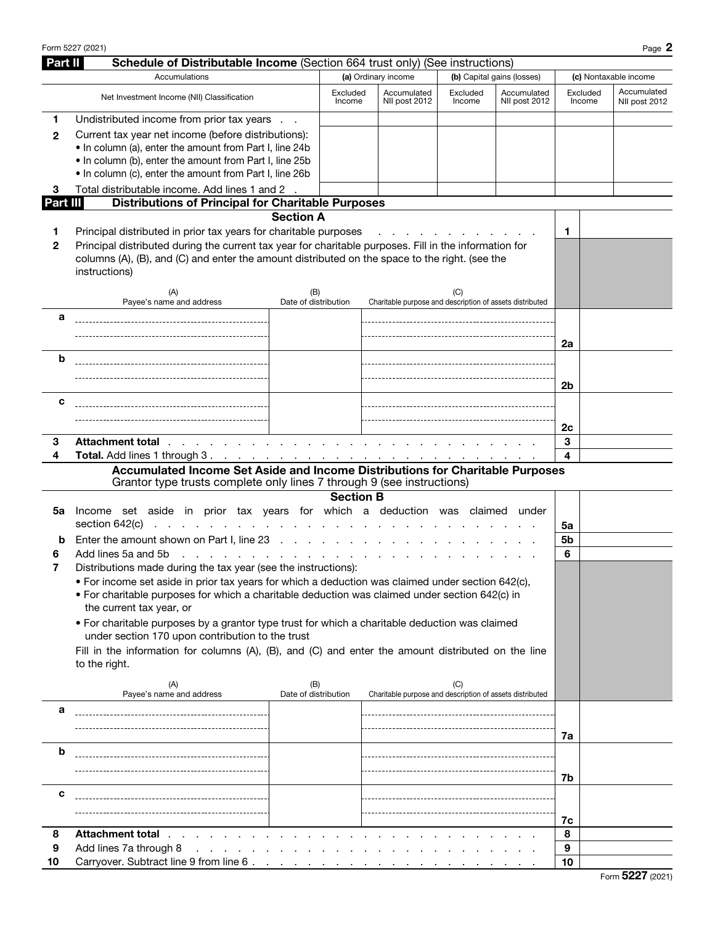| Form 5227 (2021) | $\sim$<br>Page |
|------------------|----------------|
|------------------|----------------|

| <b>Part II</b> | Schedule of Distributable Income (Section 664 trust only) (See instructions)                                                                                                                                                                                                                      |                               |                     |                          |                              |                                                                 |                              |                       |                              |  |
|----------------|---------------------------------------------------------------------------------------------------------------------------------------------------------------------------------------------------------------------------------------------------------------------------------------------------|-------------------------------|---------------------|--------------------------|------------------------------|-----------------------------------------------------------------|------------------------------|-----------------------|------------------------------|--|
|                | Accumulations                                                                                                                                                                                                                                                                                     |                               | (a) Ordinary income |                          |                              |                                                                 | (b) Capital gains (losses)   | (c) Nontaxable income |                              |  |
|                | Net Investment Income (NII) Classification                                                                                                                                                                                                                                                        |                               | Excluded<br>Income  |                          | Accumulated<br>NII post 2012 | Excluded<br>Income                                              | Accumulated<br>NII post 2012 | Excluded<br>Income    | Accumulated<br>NII post 2012 |  |
| 1<br>2         | Undistributed income from prior tax years<br>Current tax year net income (before distributions):<br>. In column (a), enter the amount from Part I, line 24b<br>. In column (b), enter the amount from Part I, line 25b<br>. In column (c), enter the amount from Part I, line 26b                 |                               |                     |                          |                              |                                                                 |                              |                       |                              |  |
| 3              | Total distributable income. Add lines 1 and 2 .                                                                                                                                                                                                                                                   |                               |                     |                          |                              |                                                                 |                              |                       |                              |  |
| Part III       | <b>Distributions of Principal for Charitable Purposes</b>                                                                                                                                                                                                                                         |                               |                     |                          |                              |                                                                 |                              |                       |                              |  |
|                |                                                                                                                                                                                                                                                                                                   | <b>Section A</b>              |                     |                          |                              |                                                                 |                              |                       |                              |  |
| 1<br>2         | Principal distributed in prior tax years for charitable purposes<br>Principal distributed during the current tax year for charitable purposes. Fill in the information for<br>columns (A), (B), and (C) and enter the amount distributed on the space to the right. (see the<br>instructions)     |                               |                     |                          |                              |                                                                 |                              | 1                     |                              |  |
|                | (A)<br>Payee's name and address                                                                                                                                                                                                                                                                   | (B)<br>Date of distribution   |                     |                          |                              | (C)<br>Charitable purpose and description of assets distributed |                              |                       |                              |  |
| а              |                                                                                                                                                                                                                                                                                                   |                               |                     |                          |                              |                                                                 |                              |                       |                              |  |
|                |                                                                                                                                                                                                                                                                                                   |                               |                     |                          |                              |                                                                 |                              | 2a                    |                              |  |
| b              |                                                                                                                                                                                                                                                                                                   |                               |                     |                          |                              |                                                                 |                              |                       |                              |  |
|                |                                                                                                                                                                                                                                                                                                   |                               |                     |                          |                              |                                                                 |                              |                       |                              |  |
|                |                                                                                                                                                                                                                                                                                                   |                               |                     |                          |                              |                                                                 |                              | 2 <sub>b</sub>        |                              |  |
| с              |                                                                                                                                                                                                                                                                                                   |                               |                     |                          |                              |                                                                 |                              |                       |                              |  |
|                |                                                                                                                                                                                                                                                                                                   |                               |                     |                          |                              |                                                                 |                              |                       |                              |  |
| 3              | Attachment total the state of the state of the state of the state of the state of the state of the state of the state of the state of the state of the state of the state of the state of the state of the state of the state                                                                     |                               |                     |                          |                              |                                                                 |                              | 2c<br>3               |                              |  |
| 4              |                                                                                                                                                                                                                                                                                                   |                               |                     |                          |                              |                                                                 |                              | 4                     |                              |  |
|                | Accumulated Income Set Aside and Income Distributions for Charitable Purposes                                                                                                                                                                                                                     |                               |                     |                          |                              |                                                                 |                              |                       |                              |  |
|                | Grantor type trusts complete only lines 7 through 9 (see instructions)                                                                                                                                                                                                                            |                               |                     |                          |                              |                                                                 |                              |                       |                              |  |
|                | Income set aside in prior tax years for which a deduction was claimed under                                                                                                                                                                                                                       |                               | <b>Section B</b>    |                          |                              |                                                                 |                              |                       |                              |  |
| 5a             | section 642(c)<br>.<br><b>College</b>                                                                                                                                                                                                                                                             |                               |                     |                          |                              |                                                                 |                              | 5a                    |                              |  |
| b              | Enter the amount shown on Part I, line 23                                                                                                                                                                                                                                                         |                               |                     |                          |                              |                                                                 |                              | 5b                    |                              |  |
| 6              | Add lines 5a and 5b<br><b>Contract Contract</b>                                                                                                                                                                                                                                                   | and a straight and a straight |                     | <b>Contract Contract</b> |                              |                                                                 |                              | 6                     |                              |  |
| 7              | Distributions made during the tax year (see the instructions):<br>. For income set aside in prior tax years for which a deduction was claimed under section 642(c),<br>• For charitable purposes for which a charitable deduction was claimed under section 642(c) in<br>the current tax year, or |                               |                     |                          |                              |                                                                 |                              |                       |                              |  |
|                | • For charitable purposes by a grantor type trust for which a charitable deduction was claimed<br>under section 170 upon contribution to the trust                                                                                                                                                |                               |                     |                          |                              |                                                                 |                              |                       |                              |  |
|                | Fill in the information for columns (A), (B), and (C) and enter the amount distributed on the line<br>to the right.                                                                                                                                                                               |                               |                     |                          |                              |                                                                 |                              |                       |                              |  |
|                | (A)<br>Payee's name and address                                                                                                                                                                                                                                                                   | (B)<br>Date of distribution   |                     |                          |                              | (C)<br>Charitable purpose and description of assets distributed |                              |                       |                              |  |
| а              |                                                                                                                                                                                                                                                                                                   |                               |                     |                          |                              |                                                                 |                              |                       |                              |  |
|                |                                                                                                                                                                                                                                                                                                   |                               |                     |                          |                              |                                                                 |                              | 7a                    |                              |  |
| b              |                                                                                                                                                                                                                                                                                                   |                               |                     |                          |                              |                                                                 |                              |                       |                              |  |
|                |                                                                                                                                                                                                                                                                                                   |                               |                     |                          |                              |                                                                 |                              | 7b                    |                              |  |
| с              |                                                                                                                                                                                                                                                                                                   |                               |                     |                          |                              |                                                                 |                              |                       |                              |  |
|                |                                                                                                                                                                                                                                                                                                   |                               |                     |                          |                              |                                                                 |                              |                       |                              |  |
|                |                                                                                                                                                                                                                                                                                                   |                               |                     |                          |                              |                                                                 |                              | 7c                    |                              |  |
| 8              | <b>Attachment total</b>                                                                                                                                                                                                                                                                           |                               |                     |                          |                              |                                                                 |                              | 8                     |                              |  |
| 9              | Add lines 7a through 8<br><b>Service State</b>                                                                                                                                                                                                                                                    |                               |                     |                          |                              |                                                                 |                              | 9                     |                              |  |
| 10             | Carryover. Subtract line 9 from line 6.                                                                                                                                                                                                                                                           |                               |                     |                          |                              |                                                                 |                              | 10                    |                              |  |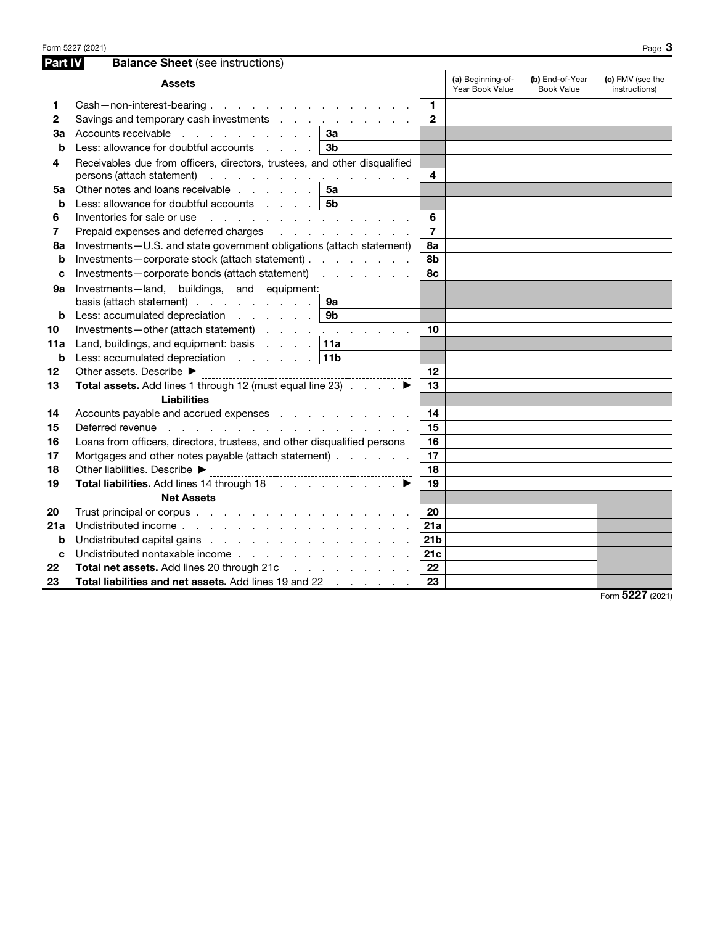| Part IV | <b>Balance Sheet (see instructions)</b>                                           |                 |                                      |                                      |                                   |
|---------|-----------------------------------------------------------------------------------|-----------------|--------------------------------------|--------------------------------------|-----------------------------------|
|         | <b>Assets</b>                                                                     |                 | (a) Beginning-of-<br>Year Book Value | (b) End-of-Year<br><b>Book Value</b> | (c) FMV (see the<br>instructions) |
| 1       | Cash-non-interest-bearing.                                                        | 1               |                                      |                                      |                                   |
| 2       | Savings and temporary cash investments                                            | $\mathbf{2}$    |                                      |                                      |                                   |
| За      | Accounts receivable 1<br>За                                                       |                 |                                      |                                      |                                   |
| b       | Less: allowance for doubtful accounts<br>3 <sub>b</sub>                           |                 |                                      |                                      |                                   |
| 4       | Receivables due from officers, directors, trustees, and other disqualified        |                 |                                      |                                      |                                   |
|         | persons (attach statement)                                                        | 4               |                                      |                                      |                                   |
| 5a      | Other notes and loans receivable  <br>5a                                          |                 |                                      |                                      |                                   |
| b       | 5b<br>Less: allowance for doubtful accounts $\ldots$ ,                            |                 |                                      |                                      |                                   |
| 6       |                                                                                   | 6               |                                      |                                      |                                   |
| 7       | Prepaid expenses and deferred charges<br>and the contract of the contract of      | $\overline{7}$  |                                      |                                      |                                   |
| 8a      | Investments-U.S. and state government obligations (attach statement)              | 8а              |                                      |                                      |                                   |
| b       | Investments-corporate stock (attach statement)                                    | 8b              |                                      |                                      |                                   |
| C       | Investments-corporate bonds (attach statement)                                    | 8с              |                                      |                                      |                                   |
| 9а      | Investments-land, buildings, and equipment:                                       |                 |                                      |                                      |                                   |
|         | basis (attach statement) $\ldots$ $\ldots$ $\ldots$<br>9а                         |                 |                                      |                                      |                                   |
| b       | 9 <sub>b</sub><br>Less: accumulated depreciation                                  |                 |                                      |                                      |                                   |
| 10      | Investments-other (attach statement)                                              | 10              |                                      |                                      |                                   |
| 11a     | Land, buildings, and equipment: basis $\ldots$ . $\vert$ 11a                      |                 |                                      |                                      |                                   |
| b       | Less: accumulated depreciation $\ldots$ $\ldots$ $\lceil 11b \rceil$              |                 |                                      |                                      |                                   |
| 12      | Other assets. Describe ▶                                                          | 12              |                                      |                                      |                                   |
| 13      | Total assets. Add lines 1 through 12 (must equal line 23) ▶                       | 13              |                                      |                                      |                                   |
|         | <b>Liabilities</b>                                                                |                 |                                      |                                      |                                   |
| 14      | Accounts payable and accrued expenses                                             | 14              |                                      |                                      |                                   |
| 15      | Deferred revenue<br>the second contract of the contract of the second contract of | 15              |                                      |                                      |                                   |
| 16      | Loans from officers, directors, trustees, and other disqualified persons          | 16              |                                      |                                      |                                   |
| 17      | Mortgages and other notes payable (attach statement)                              | 17              |                                      |                                      |                                   |
| 18      | Other liabilities. Describe ▶                                                     | 18              |                                      |                                      |                                   |
| 19      | Total liabilities. Add lines 14 through 18 ▶                                      | 19              |                                      |                                      |                                   |
|         | <b>Net Assets</b>                                                                 |                 |                                      |                                      |                                   |
| 20      |                                                                                   | 20              |                                      |                                      |                                   |
| 21a     | Undistributed income                                                              | 21a             |                                      |                                      |                                   |
| b       | Undistributed capital gains                                                       | 21 <sub>b</sub> |                                      |                                      |                                   |
| C       | Undistributed nontaxable income                                                   | 21c             |                                      |                                      |                                   |
| 22      | Total net assets. Add lines 20 through 21c                                        | 22              |                                      |                                      |                                   |
| 23      | Total liabilities and net assets. Add lines 19 and 22                             | 23              |                                      |                                      |                                   |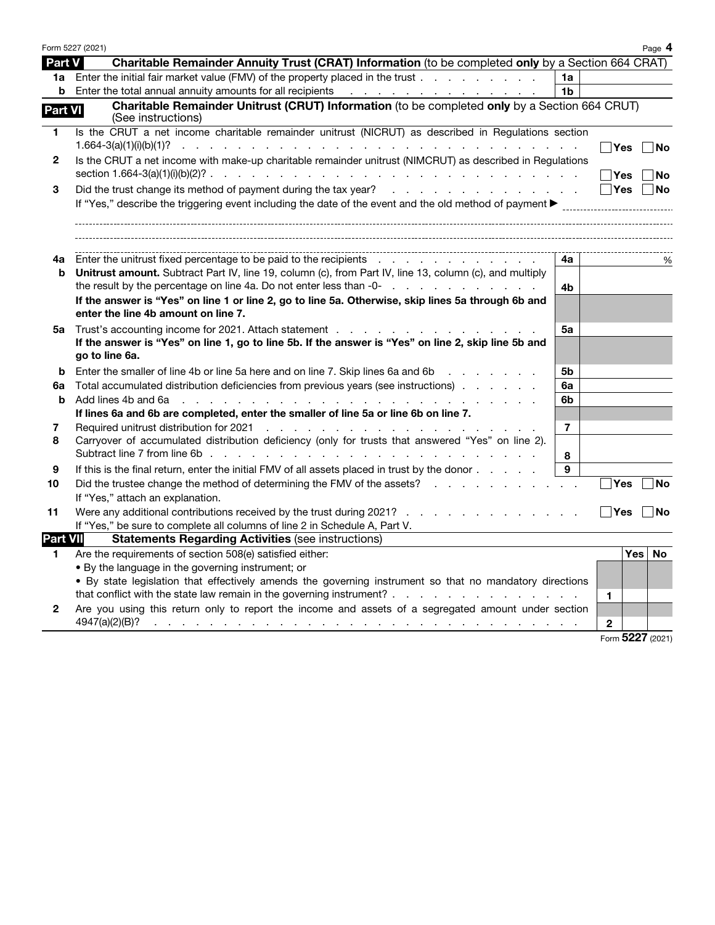|                 | Form 5227 (2021)                                                                                                                                                                                                                                |                |                  | Page 4    |
|-----------------|-------------------------------------------------------------------------------------------------------------------------------------------------------------------------------------------------------------------------------------------------|----------------|------------------|-----------|
| Part V          | Charitable Remainder Annuity Trust (CRAT) Information (to be completed only by a Section 664 CRAT)                                                                                                                                              |                |                  |           |
|                 | 1a Enter the initial fair market value (FMV) of the property placed in the trust                                                                                                                                                                | 1a             |                  |           |
| b               |                                                                                                                                                                                                                                                 | 1 <sub>b</sub> |                  |           |
| <b>Part VI</b>  | Charitable Remainder Unitrust (CRUT) Information (to be completed only by a Section 664 CRUT)<br>(See instructions)                                                                                                                             |                |                  |           |
| 1               | Is the CRUT a net income charitable remainder unitrust (NICRUT) as described in Regulations section                                                                                                                                             |                | Yes              | No        |
| $\mathbf{2}$    | Is the CRUT a net income with make-up charitable remainder unitrust (NIMCRUT) as described in Regulations                                                                                                                                       |                | ∣Yes             | No        |
| 3               | Did the trust change its method of payment during the tax year?                                                                                                                                                                                 |                | Yes              | No        |
|                 | If "Yes," describe the triggering event including the date of the event and the old method of payment >                                                                                                                                         |                |                  |           |
| 4a              | Enter the unitrust fixed percentage to be paid to the recipients                                                                                                                                                                                | 4a             |                  | %         |
| b               | Unitrust amount. Subtract Part IV, line 19, column (c), from Part IV, line 13, column (c), and multiply<br>the result by the percentage on line 4a. Do not enter less than -0-                                                                  | 4b             |                  |           |
|                 | If the answer is "Yes" on line 1 or line 2, go to line 5a. Otherwise, skip lines 5a through 6b and<br>enter the line 4b amount on line 7.                                                                                                       |                |                  |           |
| 5а              | Trust's accounting income for 2021. Attach statement                                                                                                                                                                                            | 5а             |                  |           |
|                 | If the answer is "Yes" on line 1, go to line 5b. If the answer is "Yes" on line 2, skip line 5b and<br>go to line 6a.                                                                                                                           |                |                  |           |
| b               | Enter the smaller of line 4b or line 5a here and on line 7. Skip lines 6a and 6b                                                                                                                                                                | 5b             |                  |           |
| 6a              | Total accumulated distribution deficiencies from previous years (see instructions)                                                                                                                                                              | 6a             |                  |           |
| b               | Add lines 4b and 6a<br>de la casa de la casa de la casa de la casa de la casa de la casa de la                                                                                                                                                  | 6b             |                  |           |
|                 | If lines 6a and 6b are completed, enter the smaller of line 5a or line 6b on line 7.                                                                                                                                                            |                |                  |           |
| 7               | Required unitrust distribution for 2021<br>.                                                                                                                                                                                                    | $\overline{7}$ |                  |           |
| 8               | Carryover of accumulated distribution deficiency (only for trusts that answered "Yes" on line 2).                                                                                                                                               |                |                  |           |
|                 |                                                                                                                                                                                                                                                 | 8              |                  |           |
| 9               | If this is the final return, enter the initial FMV of all assets placed in trust by the donor                                                                                                                                                   | 9              |                  |           |
| 10              | Did the trustee change the method of determining the FMV of the assets?                                                                                                                                                                         |                | <b>Yes</b>       | <b>No</b> |
|                 | If "Yes," attach an explanation.                                                                                                                                                                                                                |                |                  |           |
| 11              | Were any additional contributions received by the trust during 2021?                                                                                                                                                                            |                | ∣ Yes            | No        |
| <b>Part VII</b> | If "Yes," be sure to complete all columns of line 2 in Schedule A, Part V.<br><b>Statements Regarding Activities (see instructions)</b>                                                                                                         |                |                  |           |
| 1               | Are the requirements of section 508(e) satisfied either:                                                                                                                                                                                        |                | Yes              | No        |
|                 | . By the language in the governing instrument; or                                                                                                                                                                                               |                |                  |           |
|                 | . By state legislation that effectively amends the governing instrument so that no mandatory directions                                                                                                                                         |                |                  |           |
|                 |                                                                                                                                                                                                                                                 |                | 1.               |           |
| 2               | Are you using this return only to report the income and assets of a segregated amount under section                                                                                                                                             |                |                  |           |
|                 | 4947(a)(2)(B)?<br>a construction of the construction of the construction of the construction of the construction of the construction of the construction of the construction of the construction of the construction of the construction of the |                | $\mathbf{2}$     |           |
|                 |                                                                                                                                                                                                                                                 |                | Form 5227 (2021) |           |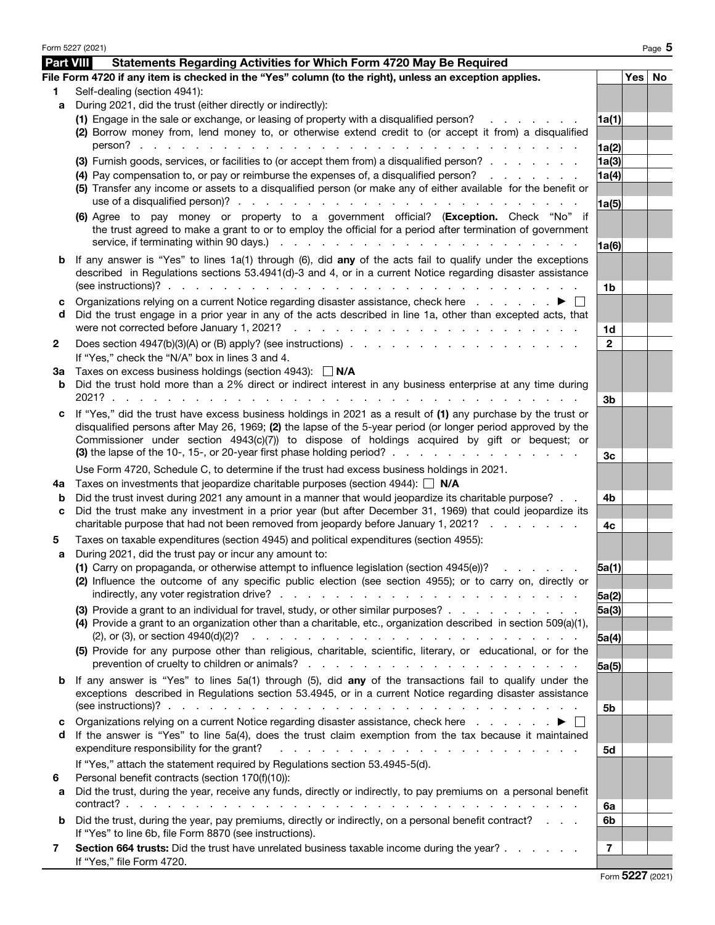|           | Form 5227 (2021)                                                                                                                                                                                                                                                                                                                           |              |          | Page 5 |
|-----------|--------------------------------------------------------------------------------------------------------------------------------------------------------------------------------------------------------------------------------------------------------------------------------------------------------------------------------------------|--------------|----------|--------|
| Part VIII | Statements Regarding Activities for Which Form 4720 May Be Required                                                                                                                                                                                                                                                                        |              |          |        |
|           | File Form 4720 if any item is checked in the "Yes" column (to the right), unless an exception applies.                                                                                                                                                                                                                                     |              | Yes   No |        |
| 1         | Self-dealing (section 4941):                                                                                                                                                                                                                                                                                                               |              |          |        |
| a         | During 2021, did the trust (either directly or indirectly):                                                                                                                                                                                                                                                                                |              |          |        |
|           | (1) Engage in the sale or exchange, or leasing of property with a disqualified person?                                                                                                                                                                                                                                                     | 1a(1)        |          |        |
|           | (2) Borrow money from, lend money to, or otherwise extend credit to (or accept it from) a disqualified                                                                                                                                                                                                                                     |              |          |        |
|           | $person?$<br>and a straight and a straight and                                                                                                                                                                                                                                                                                             | 1a(2)        |          |        |
|           | (3) Furnish goods, services, or facilities to (or accept them from) a disqualified person?                                                                                                                                                                                                                                                 | 1a(3)        |          |        |
|           | (4) Pay compensation to, or pay or reimburse the expenses of, a disqualified person?                                                                                                                                                                                                                                                       | 1a(4)        |          |        |
|           | (5) Transfer any income or assets to a disqualified person (or make any of either available for the benefit or                                                                                                                                                                                                                             |              |          |        |
|           |                                                                                                                                                                                                                                                                                                                                            | 1a(5)        |          |        |
|           | (6) Agree to pay money or property to a government official? (Exception. Check "No" if<br>the trust agreed to make a grant to or to employ the official for a period after termination of government                                                                                                                                       | 1a(6)        |          |        |
| b         | If any answer is "Yes" to lines 1a(1) through (6), did any of the acts fail to qualify under the exceptions<br>described in Regulations sections 53.4941(d)-3 and 4, or in a current Notice regarding disaster assistance<br>(see instructions)? $\cdots$ $\cdots$ $\cdots$ $\cdots$ $\cdots$ $\cdots$ $\cdots$ $\cdots$ $\cdots$ $\cdots$ |              |          |        |
|           |                                                                                                                                                                                                                                                                                                                                            | 1b           |          |        |
| с<br>d    | Organizations relying on a current Notice regarding disaster assistance, check here<br>Did the trust engage in a prior year in any of the acts described in line 1a, other than excepted acts, that                                                                                                                                        |              |          |        |
|           |                                                                                                                                                                                                                                                                                                                                            | 1d           |          |        |
| 2         | If "Yes," check the "N/A" box in lines 3 and 4.                                                                                                                                                                                                                                                                                            | $\mathbf{2}$ |          |        |
| За        | Taxes on excess business holdings (section 4943): $\Box$ N/A                                                                                                                                                                                                                                                                               |              |          |        |
| b         | Did the trust hold more than a 2% direct or indirect interest in any business enterprise at any time during                                                                                                                                                                                                                                |              |          |        |
|           | $2021?$                                                                                                                                                                                                                                                                                                                                    | 3b           |          |        |
| c         | If "Yes," did the trust have excess business holdings in 2021 as a result of (1) any purchase by the trust or<br>disqualified persons after May 26, 1969; (2) the lapse of the 5-year period (or longer period approved by the<br>Commissioner under section 4943(c)(7)) to dispose of holdings acquired by gift or bequest; or            |              |          |        |
|           | (3) the lapse of the 10-, 15-, or 20-year first phase holding period? $\ldots$ , $\ldots$ , $\ldots$ , $\ldots$ , $\ldots$                                                                                                                                                                                                                 | 3c           |          |        |
| 4a        | Use Form 4720, Schedule C, to determine if the trust had excess business holdings in 2021.<br>Taxes on investments that jeopardize charitable purposes (section 4944): $\Box$ N/A                                                                                                                                                          |              |          |        |
| b         | Did the trust invest during 2021 any amount in a manner that would jeopardize its charitable purpose?                                                                                                                                                                                                                                      | 4b           |          |        |
| c         | Did the trust make any investment in a prior year (but after December 31, 1969) that could jeopardize its                                                                                                                                                                                                                                  |              |          |        |
|           | charitable purpose that had not been removed from jeopardy before January 1, 2021?                                                                                                                                                                                                                                                         | 4c           |          |        |
| 5         | Taxes on taxable expenditures (section 4945) and political expenditures (section 4955):                                                                                                                                                                                                                                                    |              |          |        |
| a         | During 2021, did the trust pay or incur any amount to:                                                                                                                                                                                                                                                                                     |              |          |        |
|           | (1) Carry on propaganda, or otherwise attempt to influence legislation (section $4945(e)$ )?                                                                                                                                                                                                                                               | 5a(1)        |          |        |
|           | (2) Influence the outcome of any specific public election (see section 4955); or to carry on, directly or                                                                                                                                                                                                                                  |              |          |        |
|           |                                                                                                                                                                                                                                                                                                                                            | 5a(2)        |          |        |
|           | (3) Provide a grant to an individual for travel, study, or other similar purposes?                                                                                                                                                                                                                                                         | 5a(3)        |          |        |
|           | (4) Provide a grant to an organization other than a charitable, etc., organization described in section 509(a)(1),<br>$(2)$ , or $(3)$ , or section $4940(d)(2)?$<br>والمتواطن والمتواطن والمتواطن والمتواطن والمتواطن والمتواطن والمتواطن والمتواطن                                                                                       |              |          |        |
|           | (5) Provide for any purpose other than religious, charitable, scientific, literary, or educational, or for the                                                                                                                                                                                                                             | 5a(4)        |          |        |
|           |                                                                                                                                                                                                                                                                                                                                            | 5a(5)        |          |        |
| b         | If any answer is "Yes" to lines 5a(1) through (5), did any of the transactions fail to qualify under the                                                                                                                                                                                                                                   |              |          |        |
|           | exceptions described in Regulations section 53.4945, or in a current Notice regarding disaster assistance                                                                                                                                                                                                                                  | 5b           |          |        |
| с         | Organizations relying on a current Notice regarding disaster assistance, check here ▶                                                                                                                                                                                                                                                      |              |          |        |
| d         | If the answer is "Yes" to line 5a(4), does the trust claim exemption from the tax because it maintained<br>expenditure responsibility for the grant?<br>المتعاون والمتعاون والمتعاون والمتعاون والمتعاون والمتعاون والمتعاونة                                                                                                              | 5d           |          |        |
|           | If "Yes," attach the statement required by Regulations section 53.4945-5(d).                                                                                                                                                                                                                                                               |              |          |        |
| 6         | Personal benefit contracts (section 170(f)(10)):                                                                                                                                                                                                                                                                                           |              |          |        |
| а         | Did the trust, during the year, receive any funds, directly or indirectly, to pay premiums on a personal benefit                                                                                                                                                                                                                           |              |          |        |
| b         | Did the trust, during the year, pay premiums, directly or indirectly, on a personal benefit contract?                                                                                                                                                                                                                                      | 6a<br>6b     |          |        |
|           | If "Yes" to line 6b, file Form 8870 (see instructions).                                                                                                                                                                                                                                                                                    |              |          |        |
| 7         | Section 664 trusts: Did the trust have unrelated business taxable income during the year?<br>If "Yes," file Form 4720.                                                                                                                                                                                                                     | 7            |          |        |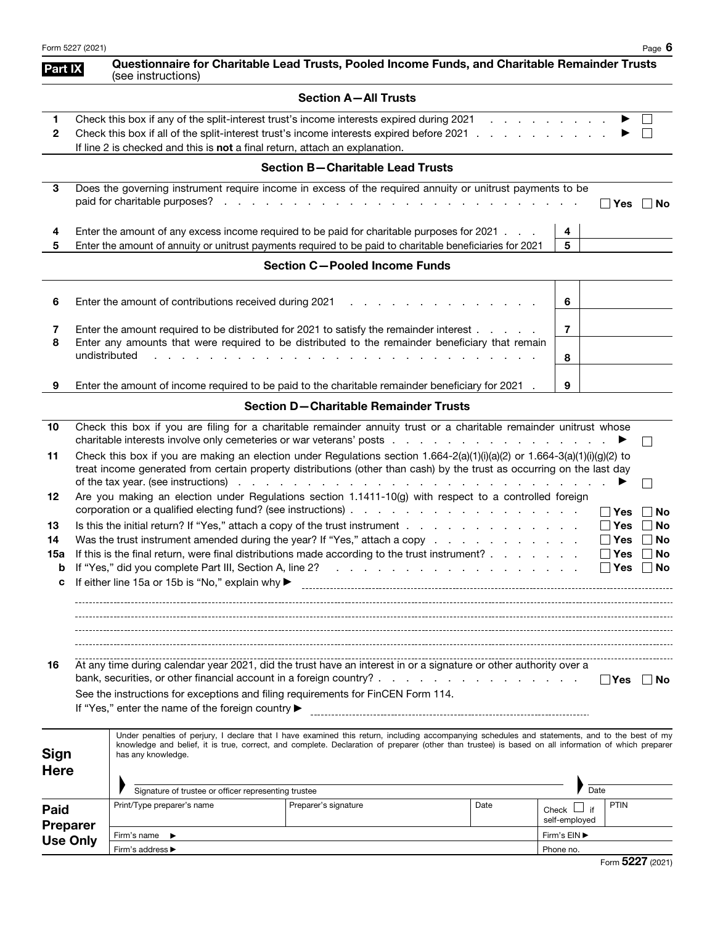|                            | Form 5227 (2021)                                                                                                                                                                                                                                                                                              |                                                                                                                                                                                           |                                                                                                                                                                                                                                                                                                       |      |                           |                                                           | Page 6            |
|----------------------------|---------------------------------------------------------------------------------------------------------------------------------------------------------------------------------------------------------------------------------------------------------------------------------------------------------------|-------------------------------------------------------------------------------------------------------------------------------------------------------------------------------------------|-------------------------------------------------------------------------------------------------------------------------------------------------------------------------------------------------------------------------------------------------------------------------------------------------------|------|---------------------------|-----------------------------------------------------------|-------------------|
| Part IX                    |                                                                                                                                                                                                                                                                                                               | (see instructions)                                                                                                                                                                        | Questionnaire for Charitable Lead Trusts, Pooled Income Funds, and Charitable Remainder Trusts                                                                                                                                                                                                        |      |                           |                                                           |                   |
|                            |                                                                                                                                                                                                                                                                                                               |                                                                                                                                                                                           | <b>Section A-All Trusts</b>                                                                                                                                                                                                                                                                           |      |                           |                                                           |                   |
| 1<br>$\mathbf{2}$          |                                                                                                                                                                                                                                                                                                               | If line 2 is checked and this is not a final return, attach an explanation.                                                                                                               | Check this box if any of the split-interest trust's income interests expired during 2021<br>Check this box if all of the split-interest trust's income interests expired before 2021                                                                                                                  |      |                           |                                                           |                   |
|                            |                                                                                                                                                                                                                                                                                                               |                                                                                                                                                                                           | <b>Section B-Charitable Lead Trusts</b>                                                                                                                                                                                                                                                               |      |                           |                                                           |                   |
| 3                          |                                                                                                                                                                                                                                                                                                               |                                                                                                                                                                                           | Does the governing instrument require income in excess of the required annuity or unitrust payments to be                                                                                                                                                                                             |      |                           | ∣Yes                                                      | ∣ ∣No             |
| 4<br>5                     | Enter the amount of any excess income required to be paid for charitable purposes for 2021.<br>Enter the amount of annuity or unitrust payments required to be paid to charitable beneficiaries for 2021                                                                                                      |                                                                                                                                                                                           |                                                                                                                                                                                                                                                                                                       |      |                           |                                                           |                   |
|                            |                                                                                                                                                                                                                                                                                                               |                                                                                                                                                                                           | <b>Section C-Pooled Income Funds</b>                                                                                                                                                                                                                                                                  |      |                           |                                                           |                   |
| 6                          |                                                                                                                                                                                                                                                                                                               | Enter the amount of contributions received during 2021                                                                                                                                    |                                                                                                                                                                                                                                                                                                       |      | 6                         |                                                           |                   |
| 7<br>8                     |                                                                                                                                                                                                                                                                                                               | Enter the amount required to be distributed for 2021 to satisfy the remainder interest<br>Enter any amounts that were required to be distributed to the remainder beneficiary that remain | $\overline{7}$                                                                                                                                                                                                                                                                                        |      |                           |                                                           |                   |
|                            | undistributed                                                                                                                                                                                                                                                                                                 |                                                                                                                                                                                           | 8                                                                                                                                                                                                                                                                                                     |      |                           |                                                           |                   |
| 9                          |                                                                                                                                                                                                                                                                                                               |                                                                                                                                                                                           | Enter the amount of income required to be paid to the charitable remainder beneficiary for 2021.                                                                                                                                                                                                      |      | 9                         |                                                           |                   |
|                            |                                                                                                                                                                                                                                                                                                               |                                                                                                                                                                                           | <b>Section D-Charitable Remainder Trusts</b>                                                                                                                                                                                                                                                          |      |                           |                                                           |                   |
| 10                         |                                                                                                                                                                                                                                                                                                               |                                                                                                                                                                                           | Check this box if you are filing for a charitable remainder annuity trust or a charitable remainder unitrust whose                                                                                                                                                                                    |      |                           |                                                           | $\vert \ \ \vert$ |
| 11                         | Check this box if you are making an election under Regulations section $1.664-2(a)(1)(i)(a)(2)$ or $1.664-3(a)(1)(i)(g)(2)$ to<br>treat income generated from certain property distributions (other than cash) by the trust as occurring on the last day                                                      |                                                                                                                                                                                           |                                                                                                                                                                                                                                                                                                       |      |                           |                                                           |                   |
| 12                         |                                                                                                                                                                                                                                                                                                               |                                                                                                                                                                                           | Are you making an election under Regulations section 1.1411-10(g) with respect to a controlled foreign                                                                                                                                                                                                |      |                           | ∣Yes                                                      | <b>No</b>         |
| 13<br>14<br>15a            | Is this the initial return? If "Yes," attach a copy of the trust instrument<br>Was the trust instrument amended during the year? If "Yes," attach a copy<br>If this is the final return, were final distributions made according to the trust instrument?<br>If either line 15a or 15b is "No," explain why ▶ |                                                                                                                                                                                           |                                                                                                                                                                                                                                                                                                       |      |                           | <b>Yes</b><br>$\sqcap$ Yes<br>Yes<br>$\Box$ Yes $\Box$ No | No<br>No<br>No    |
| 16                         |                                                                                                                                                                                                                                                                                                               | See the instructions for exceptions and filing requirements for FinCEN Form 114.<br>If "Yes," enter the name of the foreign country ▶                                                     | At any time during calendar year 2021, did the trust have an interest in or a signature or other authority over a                                                                                                                                                                                     |      |                           | ∣ ∣Yes                                                    | ∣ ∣No             |
| <b>Sign</b><br><b>Here</b> |                                                                                                                                                                                                                                                                                                               | has any knowledge.                                                                                                                                                                        | Under penalties of perjury, I declare that I have examined this return, including accompanying schedules and statements, and to the best of my<br>knowledge and belief, it is true, correct, and complete. Declaration of preparer (other than trustee) is based on all information of which preparer |      |                           |                                                           |                   |
|                            |                                                                                                                                                                                                                                                                                                               | Signature of trustee or officer representing trustee<br>Print/Type preparer's name                                                                                                        | Preparer's signature                                                                                                                                                                                                                                                                                  | Date | Date<br>if                | <b>PTIN</b>                                               |                   |
| Paid<br><b>Preparer</b>    |                                                                                                                                                                                                                                                                                                               |                                                                                                                                                                                           |                                                                                                                                                                                                                                                                                                       |      | Check L<br>self-employed  |                                                           |                   |
| <b>Use Only</b>            |                                                                                                                                                                                                                                                                                                               | Firm's name $\blacktriangleright$<br>Firm's address ▶                                                                                                                                     |                                                                                                                                                                                                                                                                                                       |      | Firm's EIN ▶<br>Phone no. |                                                           |                   |